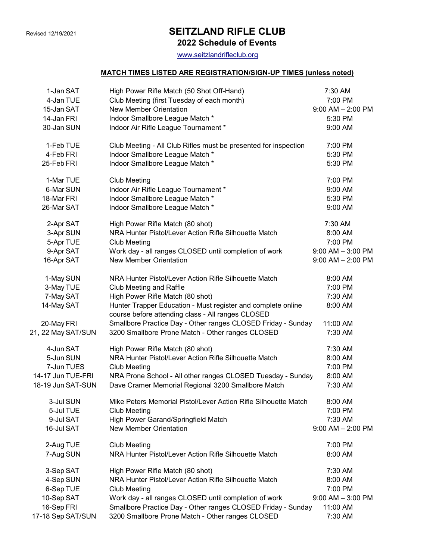## Revised 12/19/2021 **SEITZLAND RIFLE CLUB**

2022 Schedule of Events

www.seitzlandrifleclub.org

## MATCH TIMES LISTED ARE REGISTRATION/SIGN-UP TIMES (unless noted)

| 1-Jan SAT          | High Power Rifle Match (50 Shot Off-Hand)                                                                         | 7:30 AM               |
|--------------------|-------------------------------------------------------------------------------------------------------------------|-----------------------|
| 4-Jan TUE          | Club Meeting (first Tuesday of each month)                                                                        | 7:00 PM               |
| 15-Jan SAT         | <b>New Member Orientation</b>                                                                                     | $9:00$ AM $- 2:00$ PM |
| 14-Jan FRI         | Indoor Smallbore League Match *                                                                                   | 5:30 PM               |
| 30-Jan SUN         | Indoor Air Rifle League Tournament *                                                                              | 9:00 AM               |
| 1-Feb TUE          | Club Meeting - All Club Rifles must be presented for inspection                                                   | 7:00 PM               |
| 4-Feb FRI          | Indoor Smallbore League Match *                                                                                   | 5:30 PM               |
| 25-Feb FRI         | Indoor Smallbore League Match *                                                                                   | 5:30 PM               |
| 1-Mar TUE          | <b>Club Meeting</b>                                                                                               | 7:00 PM               |
| 6-Mar SUN          | Indoor Air Rifle League Tournament *                                                                              | 9:00 AM               |
| 18-Mar FRI         | Indoor Smallbore League Match *                                                                                   | 5:30 PM               |
| 26-Mar SAT         | Indoor Smallbore League Match *                                                                                   | 9:00 AM               |
| 2-Apr SAT          | High Power Rifle Match (80 shot)                                                                                  | 7:30 AM               |
| 3-Apr SUN          | NRA Hunter Pistol/Lever Action Rifle Silhouette Match                                                             | 8:00 AM               |
| 5-Apr TUE          | <b>Club Meeting</b>                                                                                               | 7:00 PM               |
| 9-Apr SAT          | Work day - all ranges CLOSED until completion of work                                                             | $9:00$ AM $-3:00$ PM  |
| 16-Apr SAT         | <b>New Member Orientation</b>                                                                                     | $9:00$ AM $- 2:00$ PM |
| 1-May SUN          | NRA Hunter Pistol/Lever Action Rifle Silhouette Match                                                             | 8:00 AM               |
| 3-May TUE          | Club Meeting and Raffle                                                                                           | 7:00 PM               |
| 7-May SAT          | High Power Rifle Match (80 shot)                                                                                  | 7:30 AM               |
| 14-May SAT         | Hunter Trapper Education - Must register and complete online<br>course before attending class - All ranges CLOSED | 8:00 AM               |
| 20-May FRI         | Smallbore Practice Day - Other ranges CLOSED Friday - Sunday                                                      | 11:00 AM              |
| 21, 22 May SAT/SUN | 3200 Smallbore Prone Match - Other ranges CLOSED                                                                  | 7:30 AM               |
| 4-Jun SAT          | High Power Rifle Match (80 shot)                                                                                  | 7:30 AM               |
| 5-Jun SUN          | NRA Hunter Pistol/Lever Action Rifle Silhouette Match                                                             | 8:00 AM               |
| 7-Jun TUES         | <b>Club Meeting</b>                                                                                               | 7:00 PM               |
| 14-17 Jun TUE-FRI  | NRA Prone School - All other ranges CLOSED Tuesday - Sunday                                                       | 8:00 AM               |
| 18-19 Jun SAT-SUN  | Dave Cramer Memorial Regional 3200 Smallbore Match                                                                | 7:30 AM               |
| 3-Jul SUN          | Mike Peters Memorial Pistol/Lever Action Rifle Silhouette Match                                                   | $8:00$ AM             |
| 5-Jul TUE          | <b>Club Meeting</b>                                                                                               | 7:00 PM               |
| 9-Jul SAT          | High Power Garand/Springfield Match                                                                               | 7:30 AM               |
| 16-Jul SAT         | New Member Orientation                                                                                            | $9:00$ AM $- 2:00$ PM |
| 2-Aug TUE          | <b>Club Meeting</b>                                                                                               | 7:00 PM               |
| 7-Aug SUN          | NRA Hunter Pistol/Lever Action Rifle Silhouette Match                                                             | 8:00 AM               |
| 3-Sep SAT          | High Power Rifle Match (80 shot)                                                                                  | 7:30 AM               |
| 4-Sep SUN          | NRA Hunter Pistol/Lever Action Rifle Silhouette Match                                                             | 8:00 AM               |
| 6-Sep TUE          | <b>Club Meeting</b>                                                                                               | 7:00 PM               |
| 10-Sep SAT         | Work day - all ranges CLOSED until completion of work                                                             | $9:00$ AM $-$ 3:00 PM |
| 16-Sep FRI         | Smallbore Practice Day - Other ranges CLOSED Friday - Sunday                                                      | 11:00 AM              |
| 17-18 Sep SAT/SUN  | 3200 Smallbore Prone Match - Other ranges CLOSED                                                                  | 7:30 AM               |